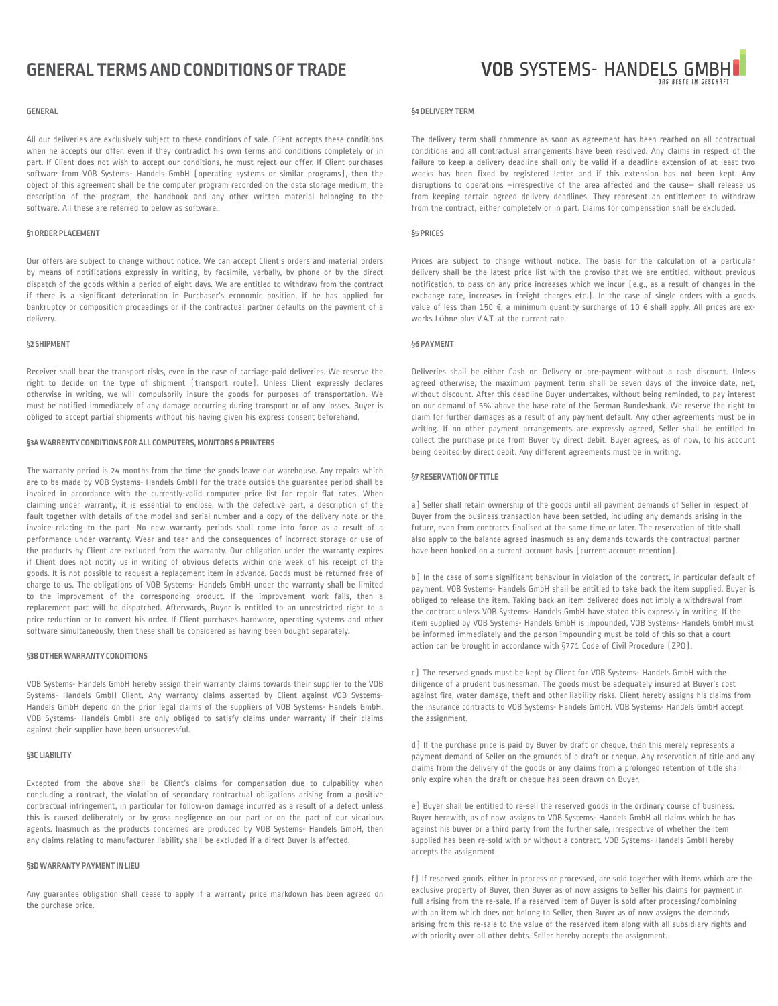# **GENERAL TERMS AND CONDITIONS OF TRADE**

#### **GENERAL**

All our deliveries are exclusively subject to these conditions of sale. Client accepts these conditions when he accepts our offer, even if they contradict his own terms and conditions completely or in part. If Client does not wish to accept our conditions, he must reject our offer. If Client purchases software from VOB Systems- Handels GmbH (operating systems or similar programs), then the object of this agreement shall be the computer program recorded on the data storage medium, the description of the program, the handbook and any other written material belonging to the software. All these are referred to below as software.

# **§1 ORDER PLACEMENT**

Our offers are subject to change without notice. We can accept Client's orders and material orders by means of notifications expressly in writing, by facsimile, verbally, by phone or by the direct dispatch of the goods within a period of eight days. We are entitled to withdraw from the contract if there is a significant deterioration in Purchaser's economic position, if he has applied for bankruptcy or composition proceedings or if the contractual partner defaults on the payment of a delivery.

# **§2 SHIPMENT**

Receiver shall bear the transport risks, even in the case of carriage-paid deliveries. We reserve the right to decide on the type of shipment (transport route). Unless Client expressly declares otherwise in writing, we will compulsorily insure the goods for purposes of transportation. We must be notified immediately of any damage occurring during transport or of any losses. Buyer is obliged to accept partial shipments without his having given his express consent beforehand.

# **§3A WARRENTY CONDITIONS FOR ALL COMPUTERS, MONITORS & PRINTERS**

The warranty period is 24 months from the time the goods leave our warehouse. Any repairs which are to be made by VOB Systems- Handels GmbH for the trade outside the guarantee period shall be invoiced in accordance with the currently-valid computer price list for repair flat rates. When claiming under warranty, it is essential to enclose, with the defective part, a description of the fault together with details of the model and serial number and a copy of the delivery note or the invoice relating to the part. No new warranty periods shall come into force as a result of a performance under warranty. Wear and tear and the consequences of incorrect storage or use of the products by Client are excluded from the warranty. Our obligation under the warranty expires if Client does not notify us in writing of obvious defects within one week of his receipt of the goods. It is not possible to request a replacement item in advance. Goods must be returned free of charge to us. The obligations of VOB Systems- Handels GmbH under the warranty shall be limited to the improvement of the corresponding product. If the improvement work fails, then a replacement part will be dispatched. Afterwards, Buyer is entitled to an unrestricted right to a price reduction or to convert his order. If Client purchases hardware, operating systems and other software simultaneously, then these shall be considered as having been bought separately.

#### **§3B OTHER WARRANTY CONDITIONS**

VOB Systems- Handels GmbH hereby assign their warranty claims towards their supplier to the VOB Systems- Handels GmbH Client. Any warranty claims asserted by Client against VOB Systems-Handels GmbH depend on the prior legal claims of the suppliers of VOB Systems- Handels GmbH. VOB Systems- Handels GmbH are only obliged to satisfy claims under warranty if their claims against their supplier have been unsuccessful.

# **§3C LIABILITY**

Excepted from the above shall be Client's claims for compensation due to culpability when concluding a contract, the violation of secondary contractual obligations arising from a positive contractual infringement, in particular for follow-on damage incurred as a result of a defect unless this is caused deliberately or by gross negligence on our part or on the part of our vicarious agents. Inasmuch as the products concerned are produced by VOB Systems- Handels GmbH, then any claims relating to manufacturer liability shall be excluded if a direct Buyer is affected.

# **§3D WARRANTY PAYMENT IN LIEU**

Any guarantee obligation shall cease to apply if a warranty price markdown has been agreed on the purchase price.



#### **§4 DELIVERY TERM**

The delivery term shall commence as soon as agreement has been reached on all contractual conditions and all contractual arrangements have been resolved. Any claims in respect of the failure to keep a delivery deadline shall only be valid if a deadline extension of at least two weeks has been fixed by registered letter and if this extension has not been kept. Any disruptions to operations –irrespective of the area affected and the cause– shall release us from keeping certain agreed delivery deadlines. They represent an entitlement to withdraw from the contract, either completely or in part. Claims for compensation shall be excluded.

#### **§5 PRICES**

Prices are subject to change without notice. The basis for the calculation of a particular delivery shall be the latest price list with the proviso that we are entitled, without previous notification, to pass on any price increases which we incur (e.g., as a result of changes in the exchange rate, increases in freight charges etc.). In the case of single orders with a goods value of less than 150 €, a minimum quantity surcharge of 10 € shall apply. All prices are exworks Löhne plus V.A.T. at the current rate.

#### **§6 PAYMENT**

Deliveries shall be either Cash on Delivery or pre-payment without a cash discount. Unless agreed otherwise, the maximum payment term shall be seven days of the invoice date, net, without discount. After this deadline Buyer undertakes, without being reminded, to pay interest on our demand of 5% above the base rate of the German Bundesbank. We reserve the right to claim for further damages as a result of any payment default. Any other agreements must be in writing. If no other payment arrangements are expressly agreed, Seller shall be entitled to collect the purchase price from Buyer by direct debit. Buyer agrees, as of now, to his account being debited by direct debit. Any different agreements must be in writing.

#### **§7 RESERVATION OF TITLE**

a) Seller shall retain ownership of the goods until all payment demands of Seller in respect of Buyer from the business transaction have been settled, including any demands arising in the future, even from contracts finalised at the same time or later. The reservation of title shall also apply to the balance agreed inasmuch as any demands towards the contractual partner have been booked on a current account basis (current account retention).

b) In the case of some significant behaviour in violation of the contract, in particular default of payment, VOB Systems- Handels GmbH shall be entitled to take back the item supplied. Buyer is obliged to release the item. Taking back an item delivered does not imply a withdrawal from the contract unless VOB Systems- Handels GmbH have stated this expressly in writing. If the item supplied by VOB Systems- Handels GmbH is impounded, VOB Systems- Handels GmbH must be informed immediately and the person impounding must be told of this so that a court action can be brought in accordance with §771 Code of Civil Procedure (ZPO).

c) The reserved goods must be kept by Client for VOB Systems- Handels GmbH with the diligence of a prudent businessman. The goods must be adequately insured at Buyer's cost against fire, water damage, theft and other liability risks. Client hereby assigns his claims from the insurance contracts to VOB Systems- Handels GmbH. VOB Systems- Handels GmbH accept the assignment.

d) If the purchase price is paid by Buyer by draft or cheque, then this merely represents a payment demand of Seller on the grounds of a draft or cheque. Any reservation of title and any claims from the delivery of the goods or any claims from a prolonged retention of title shall only expire when the draft or cheque has been drawn on Buyer.

e) Buyer shall be entitled to re-sell the reserved goods in the ordinary course of business. Buyer herewith, as of now, assigns to VOB Systems- Handels GmbH all claims which he has against his buyer or a third party from the further sale, irrespective of whether the item supplied has been re-sold with or without a contract. VOB Systems- Handels GmbH hereby accepts the assignment.

f) If reserved goods, either in process or processed, are sold together with items which are the exclusive property of Buyer, then Buyer as of now assigns to Seller his claims for payment in full arising from the re-sale. If a reserved item of Buyer is sold after processing/combining with an item which does not belong to Seller, then Buyer as of now assigns the demands arising from this re-sale to the value of the reserved item along with all subsidiary rights and with priority over all other debts. Seller hereby accepts the assignment.